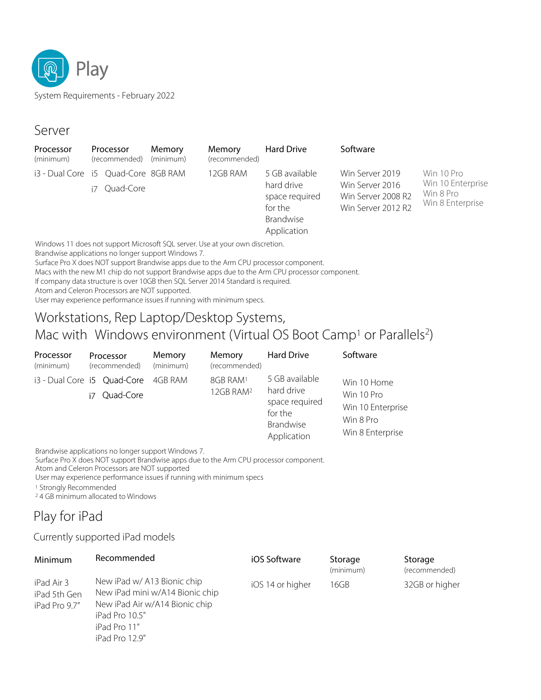

System Requirements - February 2022

### Server

| Processor<br>Processor<br>(minimum)<br>(recommended)                                                                                                                                                                                                                                                                                           |           | Memory<br>(minimum) | Memory<br>(recommended)     | <b>Hard Drive</b> | Software                                                                              |                                                                                |                                                                  |
|------------------------------------------------------------------------------------------------------------------------------------------------------------------------------------------------------------------------------------------------------------------------------------------------------------------------------------------------|-----------|---------------------|-----------------------------|-------------------|---------------------------------------------------------------------------------------|--------------------------------------------------------------------------------|------------------------------------------------------------------|
| i3 - Dual Core i5 Quad-Core 8GB RAM<br>$\mathbf{A} \mathbf{B}$ and $\mathbf{A}$ and $\mathbf{A}$ and $\mathbf{A}$ and $\mathbf{A}$ and $\mathbf{A}$ and $\mathbf{A}$ and $\mathbf{A}$ and $\mathbf{A}$ and $\mathbf{A}$ and $\mathbf{A}$ and $\mathbf{A}$ and $\mathbf{A}$ and $\mathbf{A}$ and $\mathbf{A}$ and $\mathbf{A}$ and $\mathbf{A}$ | Quad-Core |                     | $\sim$ $\sim$ $\sim$ $\sim$ | 12GB RAM          | 5 GB available<br>hard drive<br>space required<br>for the<br>Brandwise<br>Application | Win Server 2019<br>Win Server 2016<br>Win Server 2008 R2<br>Win Server 2012 R2 | Win 10 Pro<br>Win 10 Enterprise<br>Win 8 Pro<br>Win 8 Enterprise |

Windows 11 does not support Microsoft SQL server. Use at your own discretion.

Brandwise applications no longer support Windows 7.

Surface Pro X does NOT support Brandwise apps due to the Arm CPU processor component.

Macs with the new M1 chip do not support Brandwise apps due to the Arm CPU processor component.

If company data structure is over 10GB then SQL Server 2014 Standard is required.

Atom and Celeron Processors are NOT supported.

User may experience performance issues if running with minimum specs.

## Workstations, Rep Laptop/Desktop Systems, Mac with Windows environment (Virtual OS Boot Camp<sup>1</sup> or Parallels<sup>2</sup>)

| Processor<br>(minimum) | Processor<br>(recommended)                             | Memory<br>(minimum) | Memory<br>(recommended)                       | <b>Hard Drive</b>                                                                     | Software                                                                        |
|------------------------|--------------------------------------------------------|---------------------|-----------------------------------------------|---------------------------------------------------------------------------------------|---------------------------------------------------------------------------------|
|                        | i3 - Dual Core i5 Quad-Core 4GB RAM<br>Quad-Core<br>i7 |                     | 8GB RAM <sup>1</sup><br>12GB RAM <sup>2</sup> | 5 GB available<br>hard drive<br>space required<br>for the<br>Brandwise<br>Application | Win 10 Home<br>Win 10 Pro<br>Win 10 Enterprise<br>Win 8 Pro<br>Win 8 Enterprise |

Brandwise applications no longer support Windows 7.

Surface Pro X does NOT support Brandwise apps due to the Arm CPU processor component.

Atom and Celeron Processors are NOT supported

User may experience performance issues if running with minimum specs

<sup>1</sup> Strongly Recommended

<sup>2</sup> 4 GB minimum allocated to Windows

# Play for iPad

### Currently supported iPad models

| Minimum                                     | Recommended                                                                                                                                          | iOS Software     | Storage<br>(minimum) | Storage<br>(recommended) |
|---------------------------------------------|------------------------------------------------------------------------------------------------------------------------------------------------------|------------------|----------------------|--------------------------|
| iPad Air 3<br>iPad 5th Gen<br>iPad Pro 9.7" | New iPad w/ A13 Bionic chip<br>New iPad mini w/A14 Bionic chip<br>New iPad Air w/A14 Bionic chip<br>iPad Pro 10.5"<br>iPad Pro 11"<br>iPad Pro 12.9" | iOS 14 or higher | 16GB                 | 32GB or higher           |